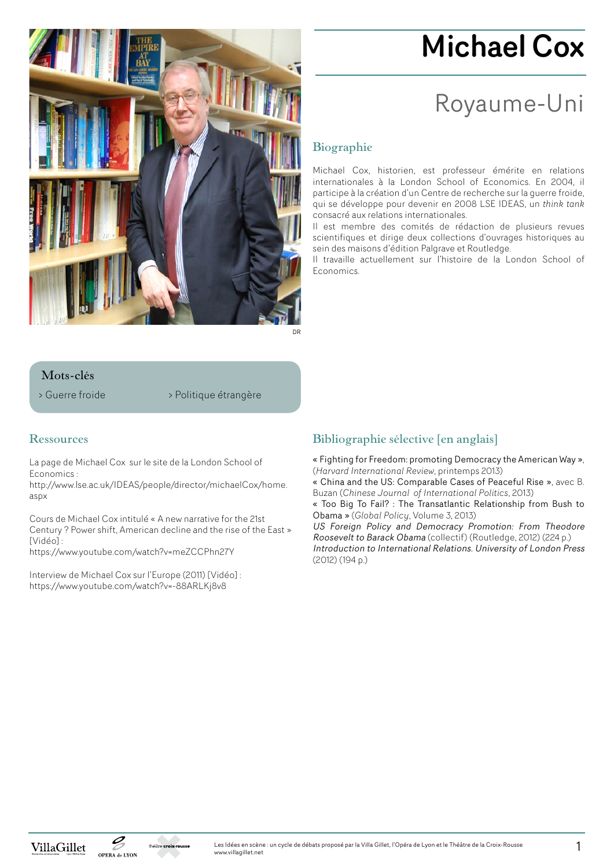

# Michael Cox

# Royaume-Uni

## **Biographie**

Michael Cox, historien, est professeur émérite en relations internationales à la London School of Economics. En 2004, il participe à la création d'un Centre de recherche sur la guerre froide, qui se développe pour devenir en 2008 LSE IDEAS, un *think tank*  consacré aux relations internationales.

Il est membre des comités de rédaction de plusieurs revues scientifiques et dirige deux collections d'ouvrages historiques au sein des maisons d'édition Palgrave et Routledge.

Il travaille actuellement sur l'histoire de la London School of Economics.

#### **Mots-clés**

> Guerre froide > Politique étrangère

#### **Ressources**

La page de Michael Cox sur le site de la London School of Economics :

http://www.lse.ac.uk/IDEAS/people/director/michaelCox/home. aspx

Cours de Michael Cox intitulé « A new narrative for the 21st Century ? Power shift, American decline and the rise of the East » [Vidéo] : https://www.youtube.com/watch?v=meZCCPhn27Y

Interview de Michael Cox sur l'Europe (2011) [Vidéo] : https://www.youtube.com/watch?v=-88ARLKj8v8

### **Bibliographie sélective [en anglais]**

« Fighting for Freedom: promoting Democracy the American Way », (*Harvard International Review*, printemps 2013)

« China and the US: Comparable Cases of Peaceful Rise », avec B. Buzan (*Chinese Journal of International Politics*, 2013)

« Too Big To Fail? : The Transatlantic Relationship from Bush to Obama » (*Global Policy*, Volume 3, 2013)

US Foreign Policy and Democracy Promotion: From Theodore Roosevelt to Barack Obama (collectif) (Routledge, 2012) (224 p.) Introduction to International Relations. University of London Press (2012) (194 p.)